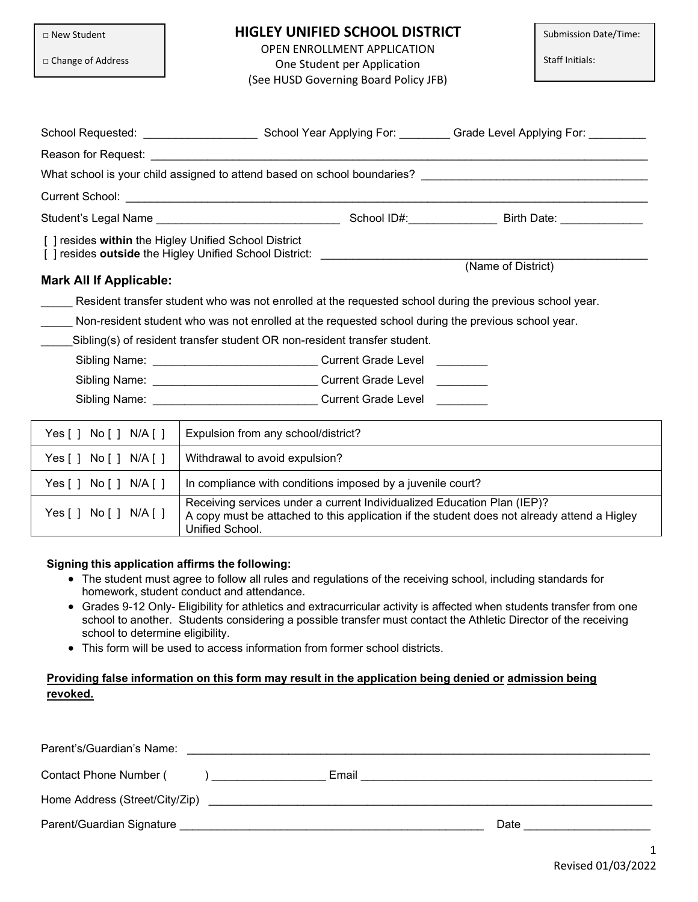| □ New Student                                                                                          | <b>HIGLEY UNIFIED SCHOOL DISTRICT</b>                                                                                 |  |                 | Submission Date/Time: |  |  |
|--------------------------------------------------------------------------------------------------------|-----------------------------------------------------------------------------------------------------------------------|--|-----------------|-----------------------|--|--|
| □ Change of Address                                                                                    | OPEN ENROLLMENT APPLICATION<br>One Student per Application<br>(See HUSD Governing Board Policy JFB)                   |  | Staff Initials: |                       |  |  |
|                                                                                                        |                                                                                                                       |  |                 |                       |  |  |
|                                                                                                        | School Requested: ____________________________School Year Applying For: _________ Grade Level Applying For: _________ |  |                 |                       |  |  |
|                                                                                                        |                                                                                                                       |  |                 |                       |  |  |
| What school is your child assigned to attend based on school boundaries?                               |                                                                                                                       |  |                 |                       |  |  |
|                                                                                                        |                                                                                                                       |  |                 |                       |  |  |
|                                                                                                        |                                                                                                                       |  |                 |                       |  |  |
| [ ] resides within the Higley Unified School District                                                  |                                                                                                                       |  |                 |                       |  |  |
| [] resides outside the Higley Unified School District: _________________________<br>(Name of District) |                                                                                                                       |  |                 |                       |  |  |
| <b>Mark All If Applicable:</b>                                                                         |                                                                                                                       |  |                 |                       |  |  |
|                                                                                                        | Resident transfer student who was not enrolled at the requested school during the previous school year.               |  |                 |                       |  |  |
|                                                                                                        | Non-resident student who was not enrolled at the requested school during the previous school year.                    |  |                 |                       |  |  |
| Sibling(s) of resident transfer student OR non-resident transfer student.                              |                                                                                                                       |  |                 |                       |  |  |
| Sibling Name: _________________________________Current Grade Level __________                          |                                                                                                                       |  |                 |                       |  |  |
| Sibling Name: _________________________________Current Grade Level ___________                         |                                                                                                                       |  |                 |                       |  |  |
| Sibling Name: Current Grade Level                                                                      |                                                                                                                       |  |                 |                       |  |  |
| Yes [ ] No [ ] N/A [ ]                                                                                 | Expulsion from any school/district?                                                                                   |  |                 |                       |  |  |
| Yes [ ] No [ ] N/A [ ]                                                                                 | Withdrawal to avoid expulsion?                                                                                        |  |                 |                       |  |  |
| Yes [ ] No [ ] N/A [ ]                                                                                 | In compliance with conditions imposed by a juvenile court?                                                            |  |                 |                       |  |  |

| Yes[] No[] N/A[] | Receiving services under a current Individualized Education Plan (IEP)?<br>A copy must be attached to this application if the student does not already attend a Higley<br>Unified School. |
|------------------|-------------------------------------------------------------------------------------------------------------------------------------------------------------------------------------------|
|                  |                                                                                                                                                                                           |

# **Signing this application affirms the following:**

- The student must agree to follow all rules and regulations of the receiving school, including standards for homework, student conduct and attendance.
- Grades 9-12 Only- Eligibility for athletics and extracurricular activity is affected when students transfer from one school to another. Students considering a possible transfer must contact the Athletic Director of the receiving school to determine eligibility.
- This form will be used to access information from former school districts.

## **Providing false information on this form may result in the application being denied or admission being revoked.**

| Parent's/Guardian's Name:      |  |       |      |  |
|--------------------------------|--|-------|------|--|
| Contact Phone Number (         |  | Email |      |  |
| Home Address (Street/City/Zip) |  |       |      |  |
| Parent/Guardian Signature      |  |       | Date |  |